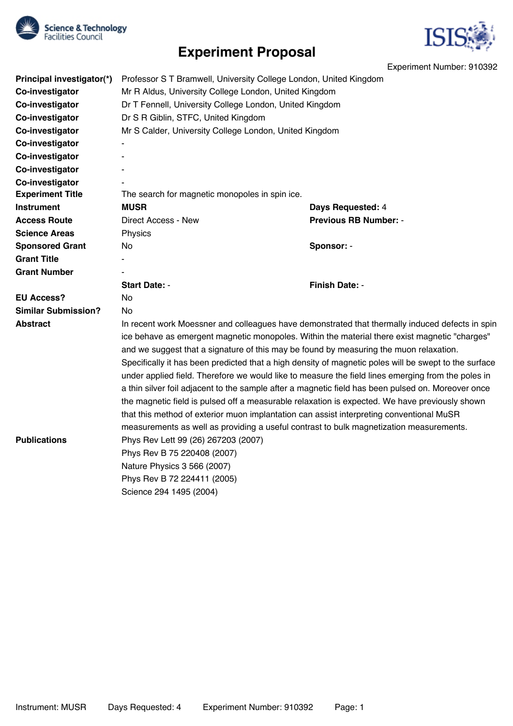

# **Experiment Proposal**



Experiment Number: 910392

| Principal investigator(*)  | Professor S T Bramwell, University College London, United Kingdom                                                                                                                                                                                                                                                                                                                                                                                                                                                                                                                                                                                                                                                                                                                                             |                              |
|----------------------------|---------------------------------------------------------------------------------------------------------------------------------------------------------------------------------------------------------------------------------------------------------------------------------------------------------------------------------------------------------------------------------------------------------------------------------------------------------------------------------------------------------------------------------------------------------------------------------------------------------------------------------------------------------------------------------------------------------------------------------------------------------------------------------------------------------------|------------------------------|
| Co-investigator            | Mr R Aldus, University College London, United Kingdom                                                                                                                                                                                                                                                                                                                                                                                                                                                                                                                                                                                                                                                                                                                                                         |                              |
| Co-investigator            | Dr T Fennell, University College London, United Kingdom                                                                                                                                                                                                                                                                                                                                                                                                                                                                                                                                                                                                                                                                                                                                                       |                              |
| Co-investigator            | Dr S R Giblin, STFC, United Kingdom                                                                                                                                                                                                                                                                                                                                                                                                                                                                                                                                                                                                                                                                                                                                                                           |                              |
| Co-investigator            | Mr S Calder, University College London, United Kingdom                                                                                                                                                                                                                                                                                                                                                                                                                                                                                                                                                                                                                                                                                                                                                        |                              |
| Co-investigator            | $\blacksquare$                                                                                                                                                                                                                                                                                                                                                                                                                                                                                                                                                                                                                                                                                                                                                                                                |                              |
| Co-investigator            |                                                                                                                                                                                                                                                                                                                                                                                                                                                                                                                                                                                                                                                                                                                                                                                                               |                              |
| Co-investigator            |                                                                                                                                                                                                                                                                                                                                                                                                                                                                                                                                                                                                                                                                                                                                                                                                               |                              |
| Co-investigator            |                                                                                                                                                                                                                                                                                                                                                                                                                                                                                                                                                                                                                                                                                                                                                                                                               |                              |
| <b>Experiment Title</b>    | The search for magnetic monopoles in spin ice.                                                                                                                                                                                                                                                                                                                                                                                                                                                                                                                                                                                                                                                                                                                                                                |                              |
| <b>Instrument</b>          | <b>MUSR</b>                                                                                                                                                                                                                                                                                                                                                                                                                                                                                                                                                                                                                                                                                                                                                                                                   | Days Requested: 4            |
| <b>Access Route</b>        | Direct Access - New                                                                                                                                                                                                                                                                                                                                                                                                                                                                                                                                                                                                                                                                                                                                                                                           | <b>Previous RB Number: -</b> |
| <b>Science Areas</b>       | Physics                                                                                                                                                                                                                                                                                                                                                                                                                                                                                                                                                                                                                                                                                                                                                                                                       |                              |
| <b>Sponsored Grant</b>     | No.                                                                                                                                                                                                                                                                                                                                                                                                                                                                                                                                                                                                                                                                                                                                                                                                           | Sponsor: -                   |
| <b>Grant Title</b>         |                                                                                                                                                                                                                                                                                                                                                                                                                                                                                                                                                                                                                                                                                                                                                                                                               |                              |
| <b>Grant Number</b>        |                                                                                                                                                                                                                                                                                                                                                                                                                                                                                                                                                                                                                                                                                                                                                                                                               |                              |
|                            | <b>Start Date: -</b>                                                                                                                                                                                                                                                                                                                                                                                                                                                                                                                                                                                                                                                                                                                                                                                          | <b>Finish Date: -</b>        |
| <b>EU Access?</b>          | No.                                                                                                                                                                                                                                                                                                                                                                                                                                                                                                                                                                                                                                                                                                                                                                                                           |                              |
| <b>Similar Submission?</b> | No.                                                                                                                                                                                                                                                                                                                                                                                                                                                                                                                                                                                                                                                                                                                                                                                                           |                              |
| <b>Abstract</b>            | In recent work Moessner and colleagues have demonstrated that thermally induced defects in spin<br>ice behave as emergent magnetic monopoles. Within the material there exist magnetic "charges"<br>and we suggest that a signature of this may be found by measuring the muon relaxation.<br>Specifically it has been predicted that a high density of magnetic poles will be swept to the surface<br>under applied field. Therefore we would like to measure the field lines emerging from the poles in<br>a thin silver foil adjacent to the sample after a magnetic field has been pulsed on. Moreover once<br>the magnetic field is pulsed off a measurable relaxation is expected. We have previously shown<br>that this method of exterior muon implantation can assist interpreting conventional MuSR |                              |
| <b>Publications</b>        | measurements as well as providing a useful contrast to bulk magnetization measurements.<br>Phys Rev Lett 99 (26) 267203 (2007)<br>Phys Rev B 75 220408 (2007)<br>Nature Physics 3 566 (2007)<br>Phys Rev B 72 224411 (2005)<br>Science 294 1495 (2004)                                                                                                                                                                                                                                                                                                                                                                                                                                                                                                                                                        |                              |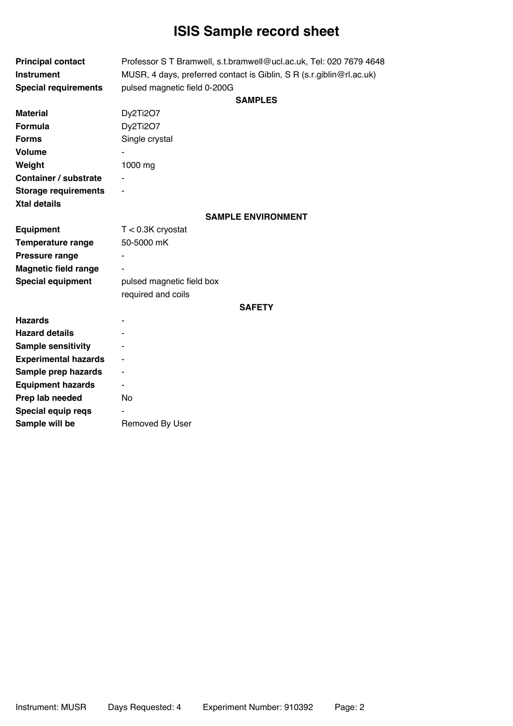# **ISIS Sample record sheet**

| <b>Principal contact</b><br><b>Instrument</b> | Professor S T Bramwell, s.t.bramwell@ucl.ac.uk, Tel: 020 7679 4648<br>MUSR, 4 days, preferred contact is Giblin, S R (s.r.giblin@rl.ac.uk) |  |
|-----------------------------------------------|--------------------------------------------------------------------------------------------------------------------------------------------|--|
| <b>Special requirements</b>                   | pulsed magnetic field 0-200G                                                                                                               |  |
|                                               | <b>SAMPLES</b>                                                                                                                             |  |
| <b>Material</b>                               | Dy2Ti2O7                                                                                                                                   |  |
| <b>Formula</b>                                | Dy2Ti2O7                                                                                                                                   |  |
| <b>Forms</b>                                  | Single crystal                                                                                                                             |  |
| <b>Volume</b>                                 |                                                                                                                                            |  |
| Weight                                        | 1000 mg                                                                                                                                    |  |
| <b>Container / substrate</b>                  |                                                                                                                                            |  |
| <b>Storage requirements</b>                   | ۰                                                                                                                                          |  |
| <b>Xtal details</b>                           |                                                                                                                                            |  |
|                                               | <b>SAMPLE ENVIRONMENT</b>                                                                                                                  |  |
| <b>Equipment</b>                              | $T < 0.3K$ cryostat                                                                                                                        |  |
| <b>Temperature range</b>                      | 50-5000 mK                                                                                                                                 |  |
| <b>Pressure range</b>                         |                                                                                                                                            |  |
| <b>Magnetic field range</b>                   |                                                                                                                                            |  |
| <b>Special equipment</b>                      | pulsed magnetic field box                                                                                                                  |  |
|                                               | required and coils                                                                                                                         |  |
|                                               | <b>SAFETY</b>                                                                                                                              |  |
| <b>Hazards</b>                                |                                                                                                                                            |  |
| <b>Hazard details</b>                         |                                                                                                                                            |  |
| <b>Sample sensitivity</b>                     |                                                                                                                                            |  |
| <b>Experimental hazards</b>                   |                                                                                                                                            |  |
| Sample prep hazards                           | $\overline{\phantom{0}}$                                                                                                                   |  |
| <b>Equipment hazards</b>                      | ۰                                                                                                                                          |  |
| Prep lab needed                               | No                                                                                                                                         |  |
| Special equip reqs                            |                                                                                                                                            |  |
| Sample will be                                | Removed By User                                                                                                                            |  |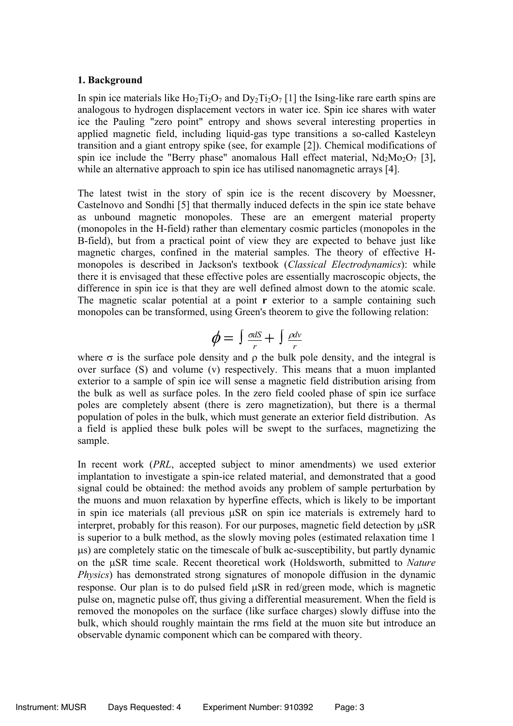### **1. Background**

In spin ice materials like  $Ho_2Ti_2O_7$  and  $Dy_2Ti_2O_7$  [1] the Ising-like rare earth spins are analogous to hydrogen displacement vectors in water ice. Spin ice shares with water ice the Pauling "zero point" entropy and shows several interesting properties in applied magnetic field, including liquid-gas type transitions a so-called Kasteleyn transition and a giant entropy spike (see, for example [2]). Chemical modifications of spin ice include the "Berry phase" anomalous Hall effect material,  $Nd_2Mo_2O_7$  [3], while an alternative approach to spin ice has utilised nanomagnetic arrays [4].

The latest twist in the story of spin ice is the recent discovery by Moessner, Castelnovo and Sondhi [5] that thermally induced defects in the spin ice state behave as unbound magnetic monopoles. These are an emergent material property (monopoles in the H-field) rather than elementary cosmic particles (monopoles in the B-field), but from a practical point of view they are expected to behave just like magnetic charges, confined in the material samples. The theory of effective Hmonopoles is described in Jackson's textbook (*Classical Electrodynamics*): while there it is envisaged that these effective poles are essentially macroscopic objects, the difference in spin ice is that they are well defined almost down to the atomic scale. The magnetic scalar potential at a point **r** exterior to a sample containing such monopoles can be transformed, using Green's theorem to give the following relation:

$$
\phi = \int \frac{\sigma dS}{r} + \int \frac{\rho d\nu}{r}
$$

where  $\sigma$  is the surface pole density and  $\rho$  the bulk pole density, and the integral is over surface (S) and volume (v) respectively. This means that a muon implanted exterior to a sample of spin ice will sense a magnetic field distribution arising from the bulk as well as surface poles. In the zero field cooled phase of spin ice surface poles are completely absent (there is zero magnetization), but there is a thermal population of poles in the bulk, which must generate an exterior field distribution. As a field is applied these bulk poles will be swept to the surfaces, magnetizing the sample.

In recent work (*PRL*, accepted subject to minor amendments) we used exterior implantation to investigate a spin-ice related material, and demonstrated that a good signal could be obtained: the method avoids any problem of sample perturbation by the muons and muon relaxation by hyperfine effects, which is likely to be important in spin ice materials (all previous  $\mu$ SR on spin ice materials is extremely hard to interpret, probably for this reason). For our purposes, magnetic field detection by  $\mu$ SR is superior to a bulk method, as the slowly moving poles (estimated relaxation time 1  $\mu$ s) are completely static on the timescale of bulk ac-susceptibility, but partly dynamic on the uSR time scale. Recent theoretical work (Holdsworth, submitted to *Nature Physics*) has demonstrated strong signatures of monopole diffusion in the dynamic response. Our plan is to do pulsed field  $\mu$ SR in red/green mode, which is magnetic pulse on, magnetic pulse off, thus giving a differential measurement. When the field is removed the monopoles on the surface (like surface charges) slowly diffuse into the bulk, which should roughly maintain the rms field at the muon site but introduce an observable dynamic component which can be compared with theory.